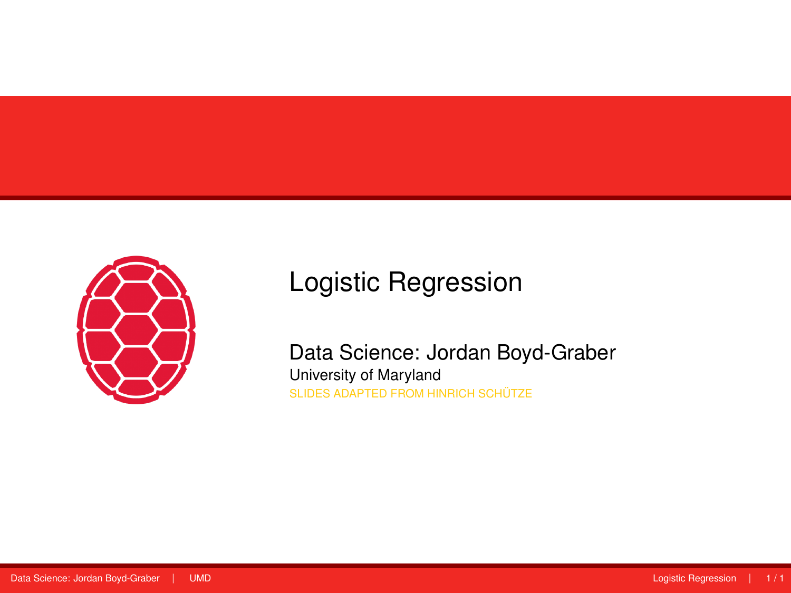<span id="page-0-0"></span>

# Logistic Regression

Data Science: Jordan Boyd-Graber University of Maryland SLIDES ADAPTED FROM HINRICH SCHÜTZE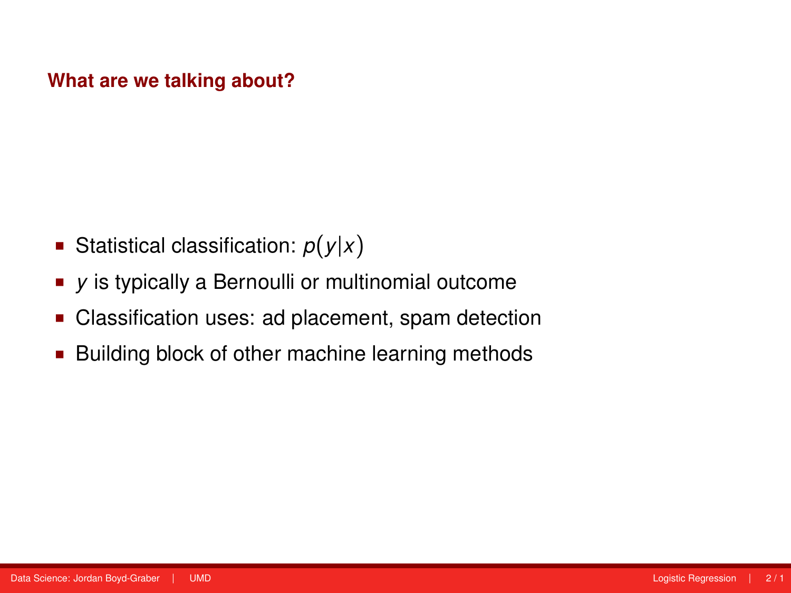#### **What are we talking about?**

- Statistical classification:  $p(y|x)$
- *y* is typically a Bernoulli or multinomial outcome
- Classification uses: ad placement, spam detection
- **Building block of other machine learning methods**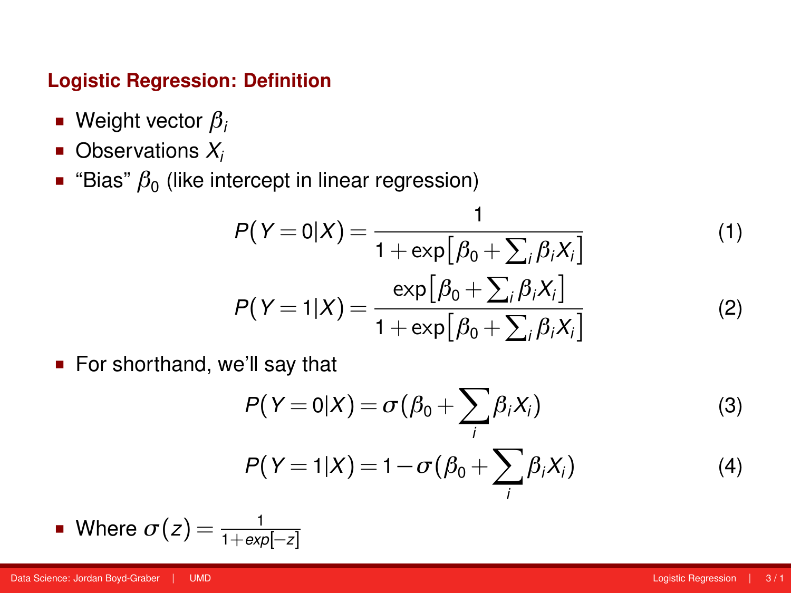#### **Logistic Regression: Definition**

- Weight vector *β<sup>i</sup>*
- Observations  $X_i$
- "Bias"  $β_0$  (like intercept in linear regression)

$$
P(Y=0|X) = \frac{1}{1+\exp[\beta_0 + \sum_i \beta_i X_i]}
$$
  
\n
$$
P(Y=1|X) = \frac{\exp[\beta_0 + \sum_i \beta_i X_i]}{1+\exp[\beta_0 + \sum_i \beta_i X_i]}
$$
 (2)

■ For shorthand, we'll say that

$$
P(Y=0|X) = \sigma(\beta_0 + \sum_i \beta_i X_i)
$$
 (3)

$$
P(Y=1|X) = 1 - \sigma(\beta_0 + \sum_i \beta_i X_i)
$$
 (4)

• Where 
$$
\sigma(z) = \frac{1}{1 + \exp[-z]}
$$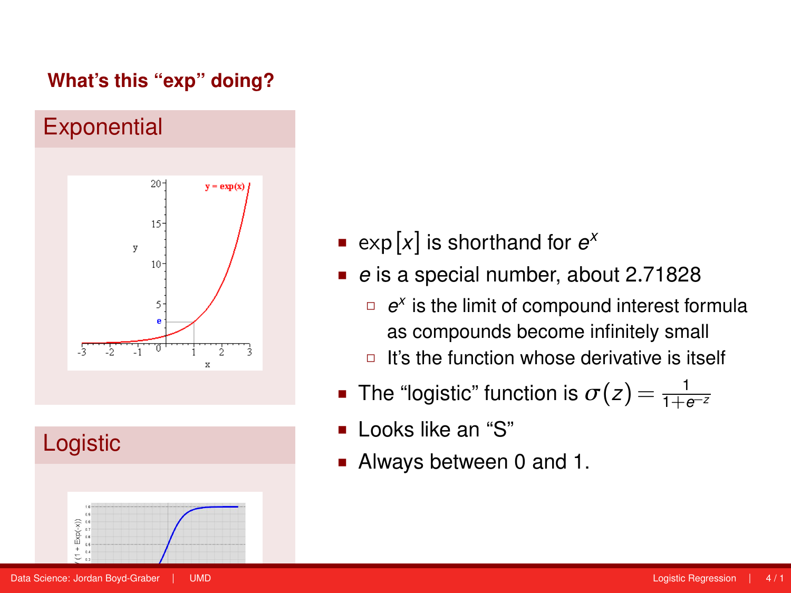### **What's this "exp" doing?**





- **•**  $\exp[x]$  is shorthand for  $e^x$
- *e* is a special number, about 2.71828
	- □  $e^{\chi}$  is the limit of compound interest formula as compounds become infinitely small
	- $\Box$  It's the function whose derivative is itself
- The "logistic" function is  $σ(z) = \frac{1}{1+e^{-z}}$
- $\blacksquare$  Looks like an "S"
- Always between 0 and 1.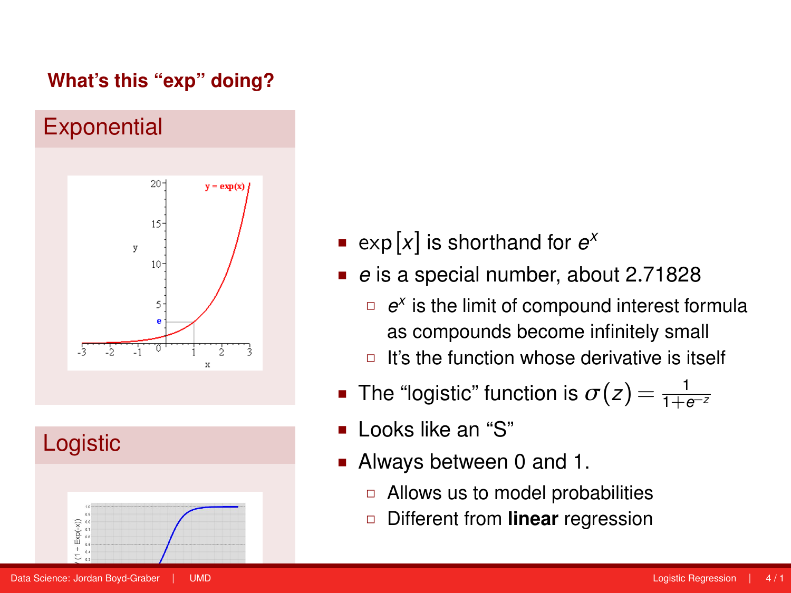### **What's this "exp" doing?**





- **•**  $\exp[x]$  is shorthand for  $e^x$
- *e* is a special number, about 2.71828
	- □  $e^{\chi}$  is the limit of compound interest formula as compounds become infinitely small
	- $\Box$  It's the function whose derivative is itself
- The "logistic" function is  $σ(z) = \frac{1}{1+e^{-z}}$
- $\blacksquare$  Looks like an "S"
- Always between 0 and 1.
	- $\Box$  Allows us to model probabilities
	- Different from **linear** regression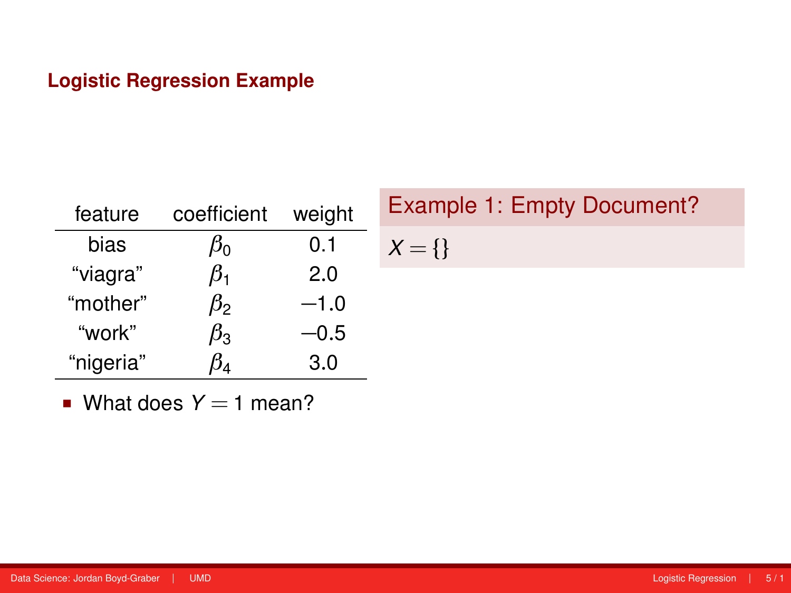| feature   | coefficient | weight |
|-----------|-------------|--------|
| bias      | $\beta_0$   | 0.1    |
| "viagra"  | $\beta_{1}$ | 2.0    |
| "mother"  | $\beta_{2}$ | $-1.0$ |
| "work"    | $\beta_{3}$ | -0.5   |
| "nigeria" |             | 3.0    |

Example 1: Empty Document?  $X = \{\}$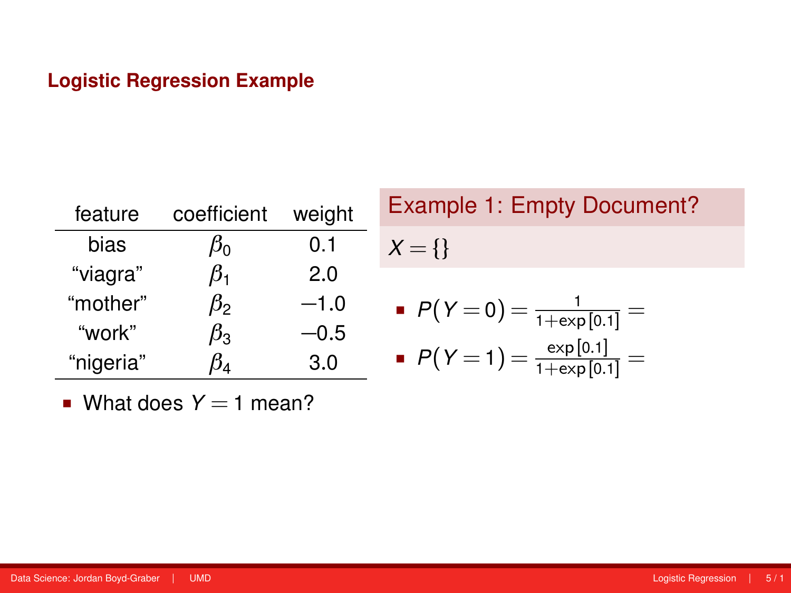| feature   | coefficient | weight |
|-----------|-------------|--------|
| bias      | $\beta_0$   | 0.1    |
| "viagra"  | $\beta_1$   | 2.0    |
| "mother"  | $\beta_{2}$ | $-1.0$ |
| "work"    | $\beta_{3}$ | -0.5   |
| "nigeria" |             | 3.0    |

Example 1: Empty Document?  $X = \{\}$ 

$$
P(Y=0) = \frac{1}{1+\exp[0.1]} =
$$

$$
P(Y=1) = \frac{\exp[0.1]}{1+\exp[0.1]} =
$$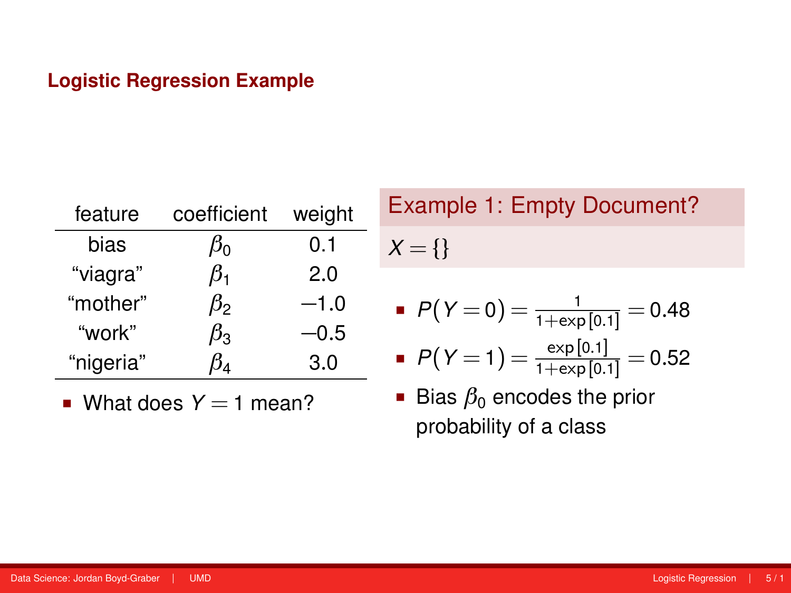| feature   | coefficient | weight |
|-----------|-------------|--------|
| bias      | $\beta_0$   | 0.1    |
| "viagra"  | $\beta_{1}$ | 2.0    |
| "mother"  | $\beta_{2}$ | $-1.0$ |
| "work"    | $\beta_{3}$ | -0.5   |
| "nigeria" |             | 3.0    |

What does  $Y = 1$  mean?

Example 1: Empty Document?  $X = \{\}$ 

$$
P(Y=0) = \frac{1}{1+\exp[0.1]} = 0.48
$$

■ 
$$
P(Y=1) = \frac{\exp[0.1]}{1+\exp[0.1]} = 0.52
$$

Bias  $\beta_0$  encodes the prior probability of a class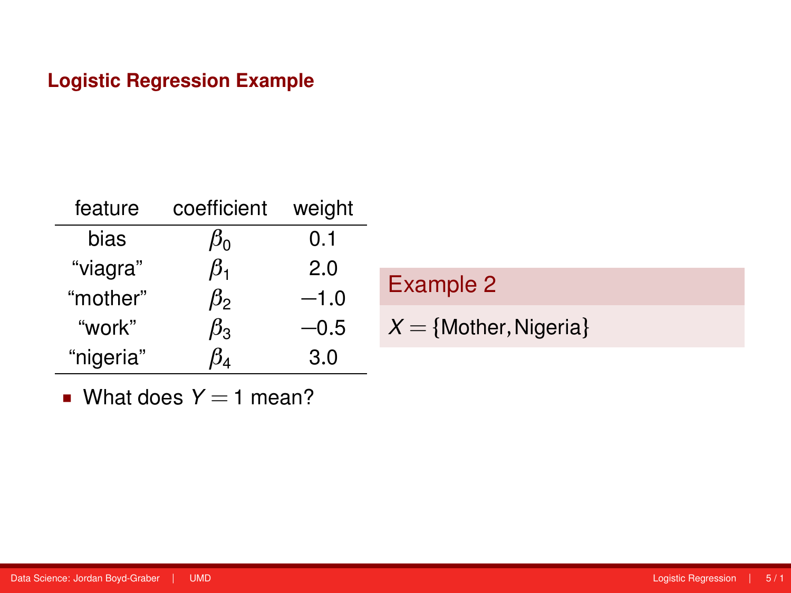| feature   | coefficient | weight |                           |
|-----------|-------------|--------|---------------------------|
| bias      | $\mu_0$     | 0.1    |                           |
| "viagra"  | $\beta_1$   | 2.0    |                           |
| "mother"  | $\beta_2$   | $-1.0$ | Example 2                 |
| "work"    | $\beta_3$   | $-0.5$ | $X = \{Mother, Nigeria\}$ |
| "nigeria" | 154         | 3.0    |                           |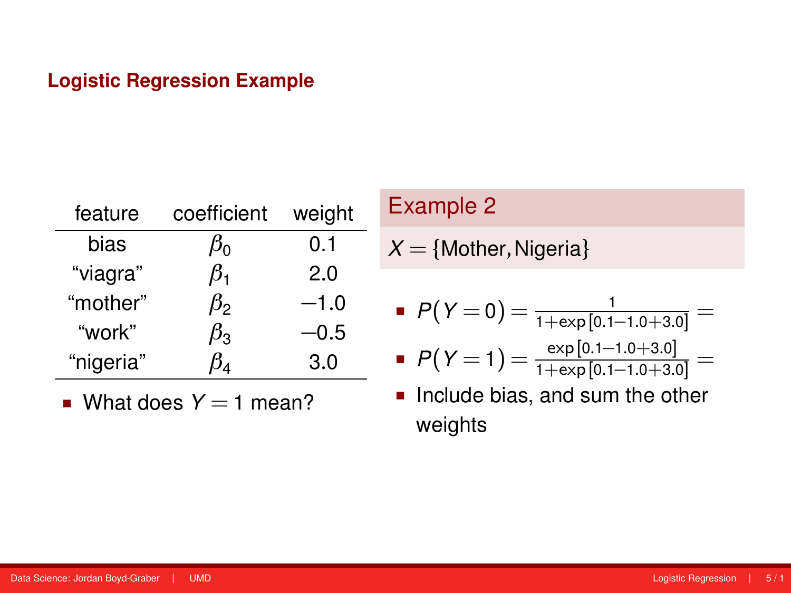| feature   | coefficient | weight |
|-----------|-------------|--------|
| bias      | $\beta_0$   | 0.1    |
| "viagra"  | $\beta_1$   | 2.0    |
| "mother"  | $\beta_{2}$ | $-1.0$ |
| "work"    | $\beta_{3}$ | -0.5   |
| "nigeria" |             | 3.0    |

What does  $Y = 1$  mean?

## Example 2

 $X = \{$ Mother, Nigeria $\}$ 

$$
P(Y=0) = \frac{1}{1+\exp[0.1-1.0+3.0]} =
$$

$$
P(Y=1) = \frac{\exp[0.1-1.0+3.0]}{1+\exp[0.1-1.0+3.0]} =
$$

Include bias, and sum the other weights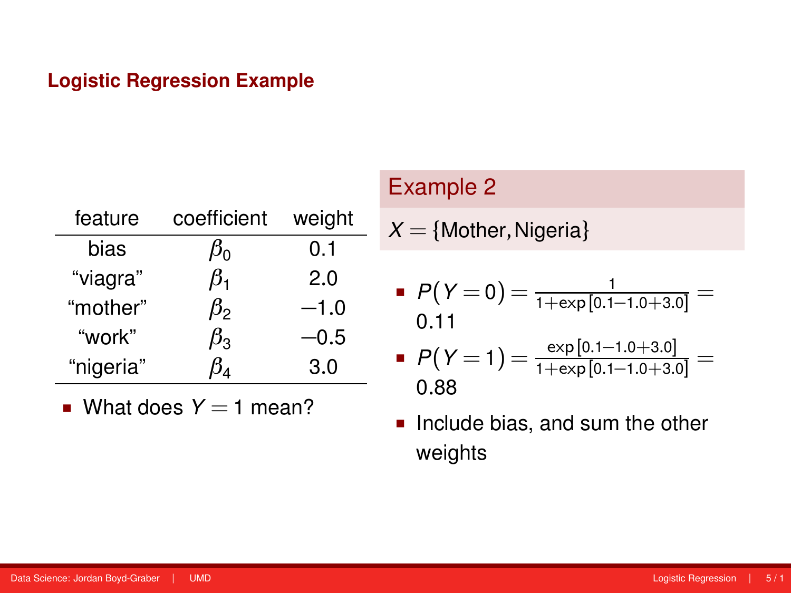| feature   | coefficient | weight |
|-----------|-------------|--------|
| bias      | $\beta_0$   | 0.1    |
| "viagra"  | $\beta_1$   | 2.0    |
| "mother"  | ß2          | $-1.0$ |
| "work"    | $\beta_{3}$ | $-0.5$ |
| "nigeria" |             | 3.0    |

**What does**  $Y = 1$  **mean?** 

## Example 2

$$
X = \{ \text{Mother}, \text{Nigeria} \}
$$

$$
P(Y=0) = \frac{1}{1+\exp[0.1-1.0+3.0]} = 0.11
$$

■ 
$$
P(Y=1) = \frac{\exp [0.1-1.0+3.0]}{1+\exp [0.1-1.0+3.0]} = 0.88
$$

Include bias, and sum the other weights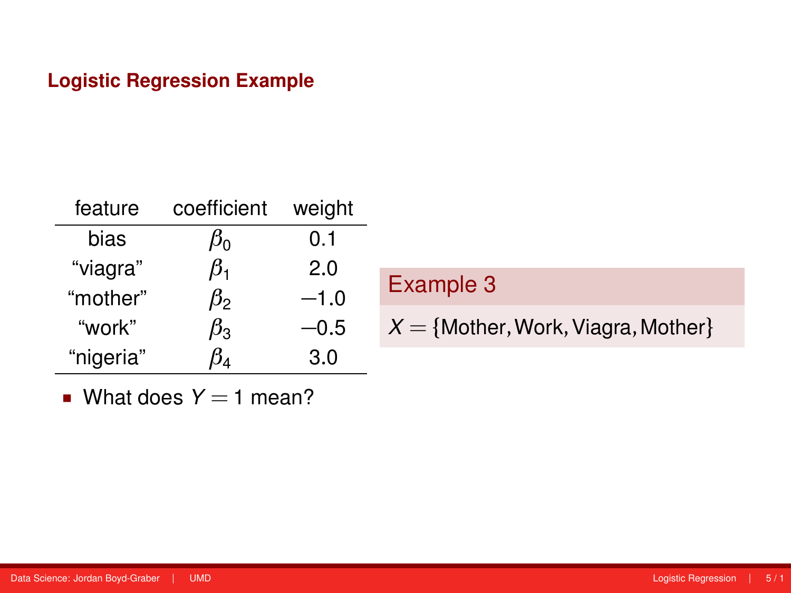| feature   | coefficient | weight |  |
|-----------|-------------|--------|--|
| bias      | $\beta_0$   | 0.1    |  |
| "viagra"  | $\beta_1$   | 2.0    |  |
| "mother"  | $\beta_2$   | $-1.0$ |  |
| "work"    | $\beta_3$   | -0.5   |  |
| "nigeria" | 5۸          | 3.0    |  |

| Example 3                              |  |
|----------------------------------------|--|
| $X = \{Mother, Work, Viagra, Mother\}$ |  |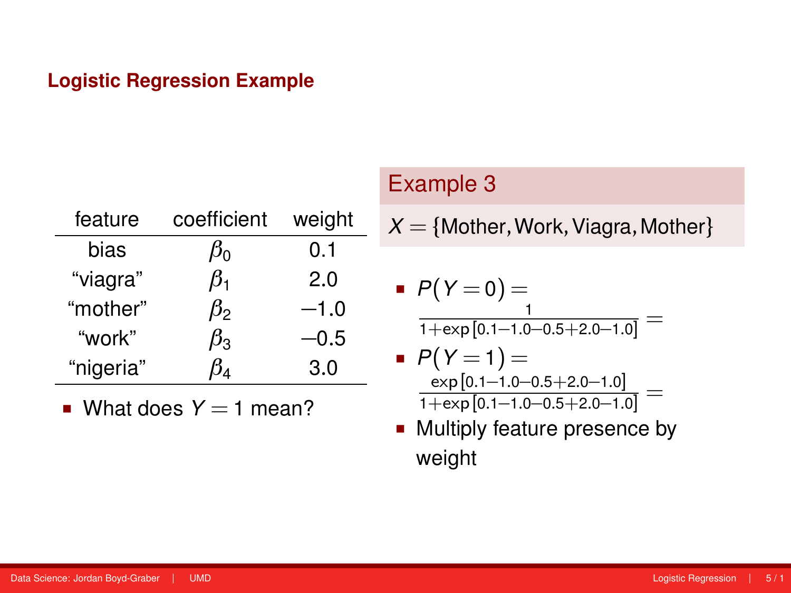| feature   | coefficient                       | weight |
|-----------|-----------------------------------|--------|
| bias      | $\beta_0$                         | 0.1    |
| "viagra"  | $\beta_1$                         | 2.0    |
| "mother"  | ß,                                | $-1.0$ |
| "work"    | $\beta_3$                         | -0.5   |
| "nigeria" | $\beta_{\rm\scriptscriptstyle 4}$ | 3.0    |

What does  $Y = 1$  mean?

# Example 3

$$
X = \{ \text{Mother}, \text{Work}, \text{Viagra}, \text{Mother} \}
$$

■ 
$$
P(Y = 0) =
$$
  

$$
\frac{1}{1 + \exp[0.1 - 1.0 - 0.5 + 2.0 - 1.0]} =
$$

■ 
$$
P(Y = 1)
$$
 =  
\n
$$
\frac{\exp[0.1-1.0-0.5+2.0-1.0]}{1+\exp[0.1-1.0-0.5+2.0-1.0]}
$$
 =

**Multiply feature presence by** weight